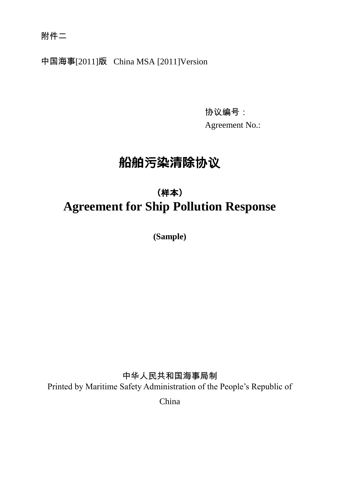附件二

中国海事[2011]版 China MSA [2011]Version

协议编号: Agreement No.:

# **船舶**污**染清除**协议

# **(**样**本) Agreement for Ship Pollution Response**

**(Sample)**

中华人民共和国海事局制 Printed by Maritime Safety Administration of the People's Republic of

China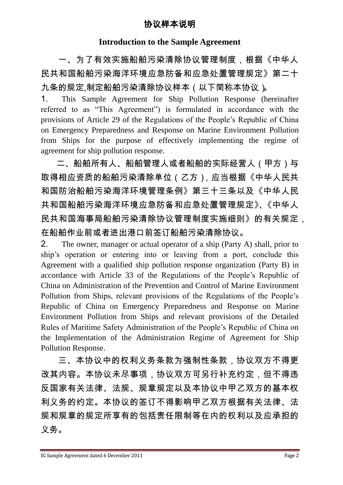#### **Introduction to the Sample Agreement**

一、为了有效实施船舶污染清除协议管理制度,根据《中华人 民共和国船舶污染海洋环境应急防备和应急处置管理规定》第二十 九条的规定,制定船舶污染清除协议样本(以下简称本协议)。

1. This Sample Agreement for Ship Pollution Response (hereinafter referred to as "This Agreement") is formulated in accordance with the provisions of Article 29 of the Regulations of the People's Republic of China on Emergency Preparedness and Response on Marine Environment Pollution from Ships for the purpose of effectively implementing the regime of agreement for ship pollution response.

二、船舶所有人、船舶管理人或者船舶的实际经营人(甲方)与 取得相应资质的船舶污染清除单位(乙方),应当根据《中华人民共 和国防治船舶污染海洋环境管理条例》第三十三条以及《中华人民 共和国船舶污染海洋环境应急防备和应急处置管理规定》、《中华人 民共和国海事局船舶污染清除协议管理制度实施细则》的有关规定, 在船舶作业前或者进出港口前签订船舶污染清除协议。

2. The owner, manager or actual operator of a ship (Party A) shall, prior to ship's operation or entering into or leaving from a port, conclude this Agreement with a qualified ship pollution response organization (Party B) in accordance with Article 33 of the Regulations of the People's Republic of China on Administration of the Prevention and Control of Marine Environment Pollution from Ships, relevant provisions of the Regulations of the People's Republic of China on Emergency Preparedness and Response on Marine Environment Pollution from Ships and relevant provisions of the Detailed Rules of Maritime Safety Administration of the People's Republic of China on the Implementation of the Administration Regime of Agreement for Ship Pollution Response.

三、本协议中的权利义务条款为强制性条款,协议双方不得更 改其内容。本协议未尽事项,协议双方可另行补充约定,但不得违 反国家有关法律、法规、规章规定以及本协议中甲乙双方的基本权 利义务的约定。本协议的签订不得影响甲乙双方根据有关法律、法 规和规章的规定所享有的包括责任限制等在内的权利以及应承担的 义务。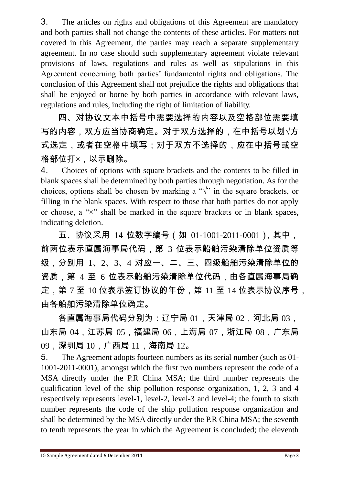3. The articles on rights and obligations of this Agreement are mandatory and both parties shall not change the contents of these articles. For matters not covered in this Agreement, the parties may reach a separate supplementary agreement. In no case should such supplementary agreement violate relevant provisions of laws, regulations and rules as well as stipulations in this Agreement concerning both parties' fundamental rights and obligations. The conclusion of this Agreement shall not prejudice the rights and obligations that shall be enjoyed or borne by both parties in accordance with relevant laws, regulations and rules, including the right of limitation of liability.

四、对协议文本中括号中需要选择的内容以及空格部位需要填 写的内容,双方应当协商确定。对于双方选择的,在中括号以划√方 式选定,或者在空格中填写;对于双方不选择的,应在中括号或空 格部位打×,以示删除。

4. Choices of options with square brackets and the contents to be filled in blank spaces shall be determined by both parties through negotiation. As for the choices, options shall be chosen by marking a " $\sqrt{$ " in the square brackets, or filling in the blank spaces. With respect to those that both parties do not apply or choose, a " $\times$ " shall be marked in the square brackets or in blank spaces, indicating deletion.

五、协议采用 14 位数字编号(如 01-1001-2011-0001),其中, 前两位表示直属海事局代码,第 3 位表示船舶污染清除单位资质等 级,分别用 1、2、3、4 对应一、二、三、四级船舶污染清除单位的 资质,第 4 至 6 位表示船舶污染清除单位代码,由各直属海事局确 定,第 7 至 10 位表示签订协议的年份,第 11 至 14 位表示协议序号, 由各船舶污染清除单位确定。

各直属海事局代码分别为:辽宁局 01,天津局 02,河北局 03, 山东局 04,江苏局 05,福建局 06,上海局 07,浙江局 08,广东局 09,深圳局 10,广西局 11,海南局 12。

5. The Agreement adopts fourteen numbers as its serial number (such as 01- 1001-2011-0001), amongst which the first two numbers represent the code of a MSA directly under the P.R China MSA; the third number represents the qualification level of the ship pollution response organization, 1, 2, 3 and 4 respectively represents level-1, level-2, level-3 and level-4; the fourth to sixth number represents the code of the ship pollution response organization and shall be determined by the MSA directly under the P.R China MSA; the seventh to tenth represents the year in which the Agreement is concluded; the eleventh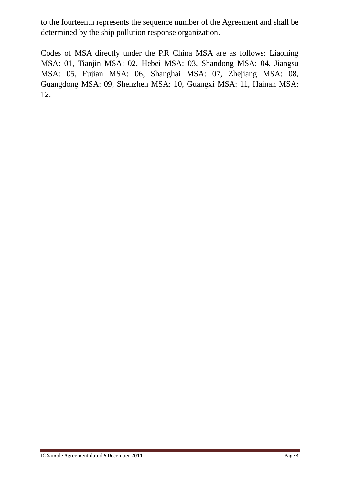to the fourteenth represents the sequence number of the Agreement and shall be determined by the ship pollution response organization.

Codes of MSA directly under the P.R China MSA are as follows: Liaoning MSA: 01, Tianjin MSA: 02, Hebei MSA: 03, Shandong MSA: 04, Jiangsu MSA: 05, Fujian MSA: 06, Shanghai MSA: 07, Zhejiang MSA: 08, Guangdong MSA: 09, Shenzhen MSA: 10, Guangxi MSA: 11, Hainan MSA: 12.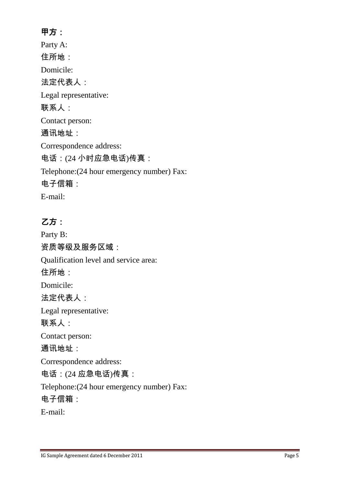# 甲方:

Party A: 住所地: Domicile: 法定代表人: Legal representative: 联系人: Contact person: 通讯地址: Correspondence address: 电话:(24 小时应急电话)传真: Telephone:(24 hour emergency number) Fax: 电子信箱: E-mail:

# 乙方:

Party B: 资质等级及服务区域: Qualification level and service area: 住所地: Domicile: 法定代表人: Legal representative: 联系人: Contact person: 通讯地址: Correspondence address: 电话:(24 应急电话)传真: Telephone:(24 hour emergency number) Fax: 电子信箱: E-mail: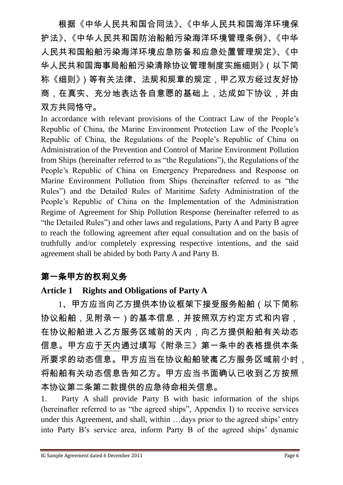根据《中华人民共和国合同法》、《中华人民共和国海洋环境保 护法》、《中华人民共和国防治船舶污染海洋环境管理条例》、《中华 人民共和国船舶污染海洋环境应急防备和应急处置管理规定》、《中 华人民共和国海事局船舶污染清除协议管理制度实施细则》(以下简 称《细则》)等有关法律、法规和规章的规定,甲乙双方经过友好协 商,在真实、充分地表达各自意愿的基础上,达成如下协议,并由 双方共同恪守。

In accordance with relevant provisions of the Contract Law of the People's Republic of China, the Marine Environment Protection Law of the People's Republic of China, the Regulations of the People's Republic of China on Administration of the Prevention and Control of Marine Environment Pollution from Ships (hereinafter referred to as "the Regulations"), the Regulations of the People's Republic of China on Emergency Preparedness and Response on Marine Environment Pollution from Ships (hereinafter referred to as "the Rules") and the Detailed Rules of Maritime Safety Administration of the People's Republic of China on the Implementation of the Administration Regime of Agreement for Ship Pollution Response (hereinafter referred to as "the Detailed Rules") and other laws and regulations, Party A and Party B agree to reach the following agreement after equal consultation and on the basis of truthfully and/or completely expressing respective intentions, and the said agreement shall be abided by both Party A and Party B.

# 第一条甲方的权利义务

### **Article 1 Rights and Obligations of Party A**

1、甲方应当向乙方提供本协议框架下接受服务船舶(以下简称 协议船舶,见附录一)的基本信息,并按照双方约定方式和内容, 在协议船舶进入乙方服务区域前的天内,向乙方提供船舶有关动态 信息。甲方应于天内通过填写《附录三》第一条中的表格提供本条 所要求的动态信息。甲方应当在协议船舶驶离乙方服务区域前小时, 将船舶有关动态信息告知乙方。甲方应当书面确认已收到乙方按照 本协议第二条第二款提供的应急待命相关信息。

1. Party A shall provide Party B with basic information of the ships (hereinafter referred to as "the agreed ships", Appendix I) to receive services under this Agreement, and shall, within …days prior to the agreed ships' entry into Party B's service area, inform Party B of the agreed ships' dynamic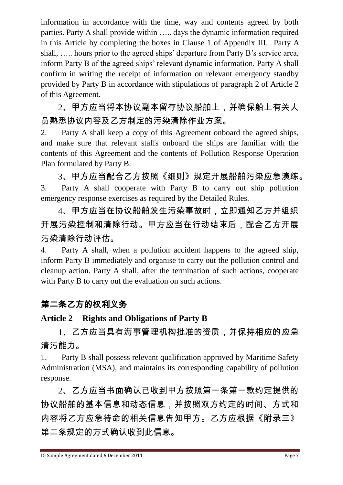information in accordance with the time, way and contents agreed by both parties. Party A shall provide within ….. days the dynamic information required in this Article by completing the boxes in Clause 1 of Appendix III. Party A shall, ….. hours prior to the agreed ships' departure from Party B's service area, inform Party B of the agreed ships' relevant dynamic information. Party A shall confirm in writing the receipt of information on relevant emergency standby provided by Party B in accordance with stipulations of paragraph 2 of Article 2 of this Agreement.

2、甲方应当将本协议副本留存协议船舶上,并确保船上有关人 员熟悉协议内容及乙方制定的污染清除作业方案。

2. Party A shall keep a copy of this Agreement onboard the agreed ships, and make sure that relevant staffs onboard the ships are familiar with the contents of this Agreement and the contents of Pollution Response Operation Plan formulated by Party B.

3、甲方应当配合乙方按照《细则》规定开展船舶污染应急演练。 3. Party A shall cooperate with Party B to carry out ship pollution emergency response exercises as required by the Detailed Rules.

4、甲方应当在协议船舶发生污染事故时,立即通知乙方并组织 开展污染控制和清除行动。甲方应当在行动结束后,配合乙方开展 污染清除行动评估。

4. Party A shall, when a pollution accident happens to the agreed ship, inform Party B immediately and organise to carry out the pollution control and cleanup action. Party A shall, after the termination of such actions, cooperate with Party B to carry out the evaluation on such actions.

# 第二条乙方的权利义务

#### **Article 2 Rights and Obligations of Party B**

1、乙方应当具有海事管理机构批准的资质,并保持相应的应急 清污能力。

1. Party B shall possess relevant qualification approved by Maritime Safety Administration (MSA), and maintains its corresponding capability of pollution response.

2、乙方应当书面确认已收到甲方按照第一条第一款约定提供的 协议船舶的基本信息和动态信息,并按照双方约定的时间、方式和 内容将乙方应急待命的相关信息告知甲方。乙方应根据《附录三》 第二条规定的方式确认收到此信息。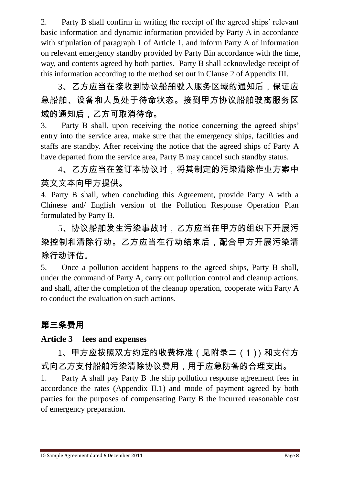2. Party B shall confirm in writing the receipt of the agreed ships' relevant basic information and dynamic information provided by Party A in accordance with stipulation of paragraph 1 of Article 1, and inform Party A of information on relevant emergency standby provided by Party Bin accordance with the time, way, and contents agreed by both parties. Party B shall acknowledge receipt of this information according to the method set out in Clause 2 of Appendix III.

3、乙方应当在接收到协议船舶驶入服务区域的通知后,保证应 急船舶、设备和人员处于待命状态。接到甲方协议船舶驶离服务区 域的通知后,乙方可取消待命。

3. Party B shall, upon receiving the notice concerning the agreed ships' entry into the service area, make sure that the emergency ships, facilities and staffs are standby. After receiving the notice that the agreed ships of Party A have departed from the service area, Party B may cancel such standby status.

4、乙方应当在签订本协议时,将其制定的污染清除作业方案中 英文文本向甲方提供。

4. Party B shall, when concluding this Agreement, provide Party A with a Chinese and/ English version of the Pollution Response Operation Plan formulated by Party B.

5、协议船舶发生污染事故时,乙方应当在甲方的组织下开展污 染控制和清除行动。乙方应当在行动结束后,配合甲方开展污染清 除行动评估。

5. Once a pollution accident happens to the agreed ships, Party B shall, under the command of Party A, carry out pollution control and cleanup actions. and shall, after the completion of the cleanup operation, cooperate with Party A to conduct the evaluation on such actions.

# 第三条费用

### **Article 3 fees and expenses**

1、甲方应按照双方约定的收费标准(见附录二(1))和支付方 式向乙方支付船舶污染清除协议费用,用于应急防备的合理支出。

1. Party A shall pay Party B the ship pollution response agreement fees in accordance the rates (Appendix II.1) and mode of payment agreed by both parties for the purposes of compensating Party B the incurred reasonable cost of emergency preparation.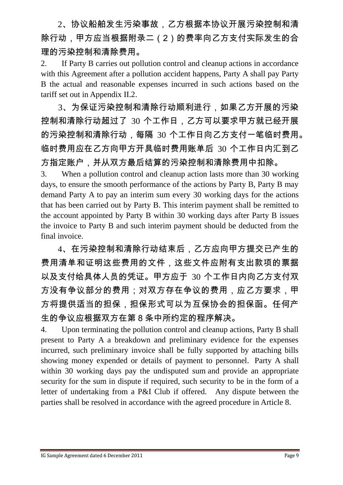2、协议船舶发生污染事故,乙方根据本协议开展污染控制和清 除行动,甲方应当根据附录二(2)的费率向乙方支付实际发生的合 理的污染控制和清除费用。

2. If Party B carries out pollution control and cleanup actions in accordance with this Agreement after a pollution accident happens, Party A shall pay Party B the actual and reasonable expenses incurred in such actions based on the tariff set out in Appendix II.2.

3、为保证污染控制和清除行动顺利进行,如果乙方开展的污染 控制和清除行动超过了 30 个工作日,乙方可以要求甲方就已经开展 的污染控制和清除行动,每隔 30 个工作日向乙方支付一笔临时费用。 临时费用应在乙方向甲方开具临时费用账单后 30 个工作日内汇到乙 方指定账户,并从双方最后结算的污染控制和清除费用中扣除。

3. When a pollution control and cleanup action lasts more than 30 working days, to ensure the smooth performance of the actions by Party B, Party B may demand Party A to pay an interim sum every 30 working days for the actions that has been carried out by Party B. This interim payment shall be remitted to the account appointed by Party B within 30 working days after Party B issues the invoice to Party B and such interim payment should be deducted from the final invoice.

4、在污染控制和清除行动结束后,乙方应向甲方提交已产生的 费用清单和证明这些费用的文件,这些文件应附有支出款项的票据 以及支付给具体人员的凭证。甲方应于 30 个工作日内向乙方支付双 方没有争议部分的费用;对双方存在争议的费用,应乙方要求,甲 方将提供适当的担保,担保形式可以为互保协会的担保函。任何产 生的争议应根据双方在第 8 条中所约定的程序解决。

4. Upon terminating the pollution control and cleanup actions, Party B shall present to Party A a breakdown and preliminary evidence for the expenses incurred, such preliminary invoice shall be fully supported by attaching bills showing money expended or details of payment to personnel. Party A shall within 30 working days pay the undisputed sum and provide an appropriate security for the sum in dispute if required, such security to be in the form of a letter of undertaking from a P&I Club if offered. Any dispute between the parties shall be resolved in accordance with the agreed procedure in Article 8.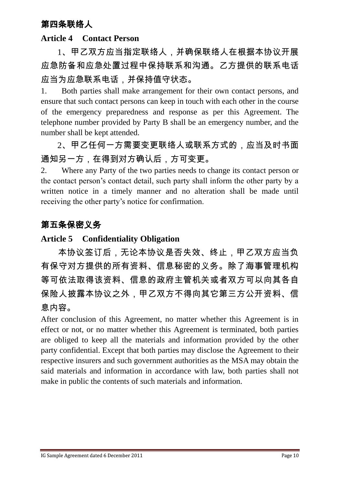# 第四条联络人

#### **Article 4 Contact Person**

1、甲乙双方应当指定联络人,并确保联络人在根据本协议开展 应急防备和应急处置过程中保持联系和沟通。乙方提供的联系电话 应当为应急联系电话,并保持值守状态。

1. Both parties shall make arrangement for their own contact persons, and ensure that such contact persons can keep in touch with each other in the course of the emergency preparedness and response as per this Agreement. The telephone number provided by Party B shall be an emergency number, and the number shall be kept attended.

2、甲乙任何一方需要变更联络人或联系方式的,应当及时书面 通知另一方,在得到对方确认后,方可变更。

2. Where any Party of the two parties needs to change its contact person or the contact person's contact detail, such party shall inform the other party by a written notice in a timely manner and no alteration shall be made until receiving the other party's notice for confirmation.

### 第五条保密义务

#### **Article 5 Confidentiality Obligation**

本协议签订后,无论本协议是否失效、终止,甲乙双方应当负 有保守对方提供的所有资料、信息秘密的义务。除了海事管理机构 等可依法取得该资料、信息的政府主管机关或者双方可以向其各自 保险人披露本协议之外,甲乙双方不得向其它第三方公开资料、信 息内容。

After conclusion of this Agreement, no matter whether this Agreement is in effect or not, or no matter whether this Agreement is terminated, both parties are obliged to keep all the materials and information provided by the other party confidential. Except that both parties may disclose the Agreement to their respective insurers and such government authorities as the MSA may obtain the said materials and information in accordance with law, both parties shall not make in public the contents of such materials and information.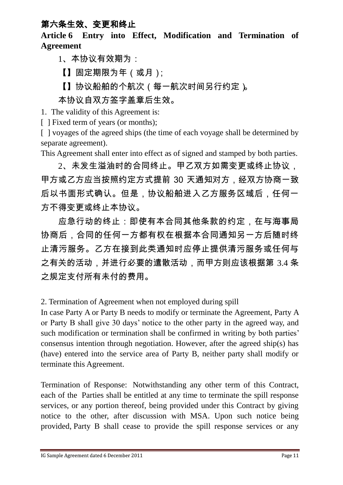# 第六条生效、变更和终止

**Article 6 Entry into Effect, Modification and Termination of Agreement**

1、本协议有效期为:

【】固定期限为年(或月);

【】协议船舶的个航次(每一航次时间另行约定)。

本协议自双方签字盖章后生效。

1. The validity of this Agreement is:

[ ] Fixed term of years (or months);

[ ] voyages of the agreed ships (the time of each voyage shall be determined by separate agreement).

This Agreement shall enter into effect as of signed and stamped by both parties.

2、未发生溢油时的合同终止。甲乙双方如需变更或终止协议, 甲方或乙方应当按照约定方式提前 30 天通知对方,经双方协商一致 后以书面形式确认。但是,协议船舶进入乙方服务区域后,任何一 方不得变更或终止本协议。

应急行动的终止:即使有本合同其他条款的约定,在与海事局 协商后,合同的任何一方都有权在根据本合同通知另一方后随时终 止清污服务。乙方在接到此类通知时应停止提供清污服务或任何与 之有关的活动,并进行必要的遣散活动,而甲方则应该根据第 3.4 条 之规定支付所有未付的费用。

2. Termination of Agreement when not employed during spill

In case Party A or Party B needs to modify or terminate the Agreement, Party A or Party B shall give 30 days' notice to the other party in the agreed way, and such modification or termination shall be confirmed in writing by both parties' consensus intention through negotiation. However, after the agreed ship(s) has (have) entered into the service area of Party B, neither party shall modify or terminate this Agreement.

Termination of Response: Notwithstanding any other term of this Contract, each of the Parties shall be entitled at any time to terminate the spill response services, or any portion thereof, being provided under this Contract by giving notice to the other, after discussion with MSA. Upon such notice being provided, Party B shall cease to provide the spill response services or any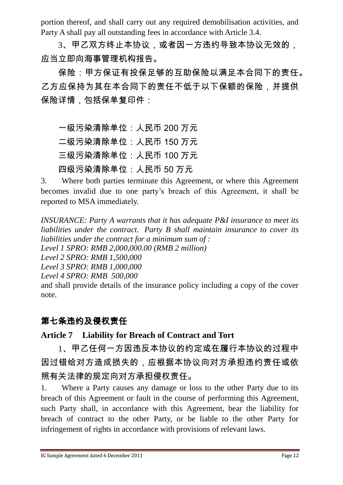portion thereof, and shall carry out any required demobilisation activities, and Party A shall pay all outstanding fees in accordance with Article 3.4.

3、甲乙双方终止本协议,或者因一方违约导致本协议无效的, 应当立即向海事管理机构报告。

保险:甲方保证有投保足够的互助保险以满足本合同下的责任。 乙方应保持为其在本合同下的责任不低于以下保额的保险,并提供 保险详情,包括保单复印件:

一级污染清除单位:人民币 200 万元 二级污染清除单位:人民币 150 万元 三级污染清除单位:人民币 100 万元 四级污染清除单位:人民币 50 万元

3. Where both parties terminate this Agreement, or where this Agreement becomes invalid due to one party's breach of this Agreement, it shall be reported to MSA immediately.

*INSURANCE: Party A warrants that it has adequate P&I insurance to meet its liabilities under the contract. Party B shall maintain insurance to cover its liabilities under the contract for a minimum sum of :*

*Level 1 SPRO: RMB 2,000,000.00 (RMB 2 million)*

*Level 2 SPRO: RMB 1,500,000*

*Level 3 SPRO: RMB 1,000,000*

*Level 4 SPRO: RMB 500,000*

and shall provide details of the insurance policy including a copy of the cover note.

# 第七条违约及侵权责任

### **Article 7 Liability for Breach of Contract and Tort**

1、甲乙任何一方因违反本协议的约定或在履行本协议的过程中 因过错给对方造成损失的,应根据本协议向对方承担违约责任或依 照有关法律的规定向对方承担侵权责任。

1. Where a Party causes any damage or loss to the other Party due to its breach of this Agreement or fault in the course of performing this Agreement, such Party shall, in accordance with this Agreement, bear the liability for breach of contract to the other Party, or be liable to the other Party for infringement of rights in accordance with provisions of relevant laws.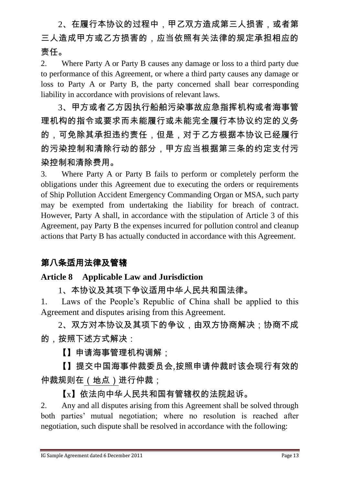2、在履行本协议的过程中,甲乙双方造成第三人损害,或者第 三人造成甲方或乙方损害的,应当依照有关法律的规定承担相应的 责任。

2. Where Party A or Party B causes any damage or loss to a third party due to performance of this Agreement, or where a third party causes any damage or loss to Party A or Party B, the party concerned shall bear corresponding liability in accordance with provisions of relevant laws.

3、甲方或者乙方因执行船舶污染事故应急指挥机构或者海事管 理机构的指令或要求而未能履行或未能完全履行本协议约定的义务 的,可免除其承担违约责任,但是,对于乙方根据本协议已经履行 的污染控制和清除行动的部分,甲方应当根据第三条的约定支付污 染控制和清除费用。

3. Where Party A or Party B fails to perform or completely perform the obligations under this Agreement due to executing the orders or requirements of Ship Pollution Accident Emergency Commanding Organ or MSA, such party may be exempted from undertaking the liability for breach of contract. However, Party A shall, in accordance with the stipulation of Article 3 of this Agreement, pay Party B the expenses incurred for pollution control and cleanup actions that Party B has actually conducted in accordance with this Agreement.

# 第八条适用法律及管辖

#### **Article 8 Applicable Law and Jurisdiction**

1、本协议及其项下争议适用中华人民共和国法律。

1. Laws of the People's Republic of China shall be applied to this Agreement and disputes arising from this Agreement.

2、双方对本协议及其项下的争议,由双方协商解决;协商不成 的,按照下述方式解决:

【】申请海事管理机构调解;

【】提交中国海事仲裁委员会,按照申请仲裁时该会现行有效的 仲裁规则在(地点)进行仲裁;

【x】依法向中华人民共和国有管辖权的法院起诉。

2. Any and all disputes arising from this Agreement shall be solved through both parties' mutual negotiation; where no resolution is reached after negotiation, such dispute shall be resolved in accordance with the following: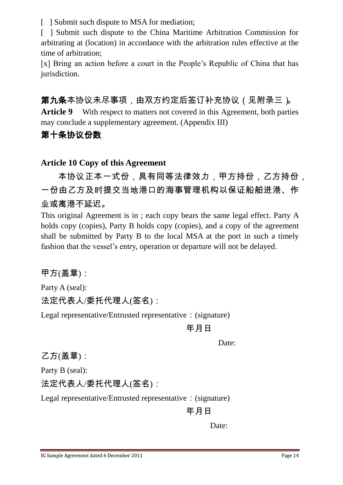[ ] Submit such dispute to MSA for mediation;

[ ] Submit such dispute to the China Maritime Arbitration Commission for arbitrating at (location) in accordance with the arbitration rules effective at the time of arbitration;

[x] Bring an action before a court in the People's Republic of China that has jurisdiction.

第九条本协议未尽事项,由双方约定后签订补充协议(见附录三)。 **Article 9** With respect to matters not covered in this Agreement, both parties may conclude a supplementary agreement. (Appendix III)

### 第十条协议份数

#### **Article 10 Copy of this Agreement**

本协议正本一式份,具有同等法律效力,甲方持份,乙方持份, 一份由乙方及时提交当地港口的海事管理机构以保证船舶进港、作 业或离港不延迟。

This original Agreement is in ; each copy bears the same legal effect. Party A holds copy (copies), Party B holds copy (copies), and a copy of the agreement shall be submitted by Party B to the local MSA at the port in such a timely fashion that the vessel's entry, operation or departure will not be delayed.

甲方(盖章):

Party A (seal): 法定代表人/委托代理人(签名):

Legal representative/Entrusted representative: (signature)

年月日

Date:

乙方(盖章):

Party B (seal):

法定代表人/委托代理人(签名):

Legal representative/Entrusted representative: (signature)

年月日

Date: